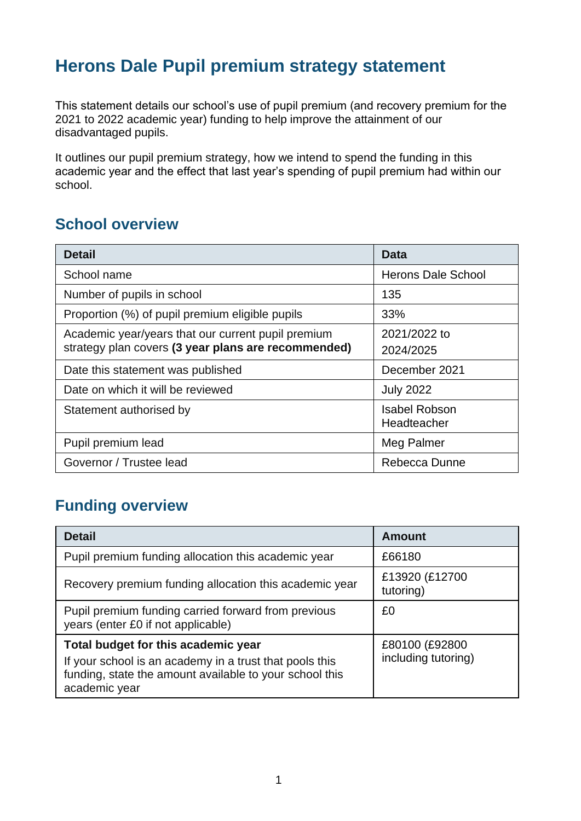## **Herons Dale Pupil premium strategy statement**

This statement details our school's use of pupil premium (and recovery premium for the 2021 to 2022 academic year) funding to help improve the attainment of our disadvantaged pupils.

It outlines our pupil premium strategy, how we intend to spend the funding in this academic year and the effect that last year's spending of pupil premium had within our school.

#### **School overview**

| <b>Detail</b>                                                                                             | Data                                |
|-----------------------------------------------------------------------------------------------------------|-------------------------------------|
| School name                                                                                               | <b>Herons Dale School</b>           |
| Number of pupils in school                                                                                | 135                                 |
| Proportion (%) of pupil premium eligible pupils                                                           | 33%                                 |
| Academic year/years that our current pupil premium<br>strategy plan covers (3 year plans are recommended) | 2021/2022 to<br>2024/2025           |
| Date this statement was published                                                                         | December 2021                       |
| Date on which it will be reviewed                                                                         | <b>July 2022</b>                    |
| Statement authorised by                                                                                   | <b>Isabel Robson</b><br>Headteacher |
| Pupil premium lead                                                                                        | Meg Palmer                          |
| Governor / Trustee lead                                                                                   | Rebecca Dunne                       |

### **Funding overview**

| <b>Detail</b>                                                                                                                                                              | Amount                                |
|----------------------------------------------------------------------------------------------------------------------------------------------------------------------------|---------------------------------------|
| Pupil premium funding allocation this academic year                                                                                                                        | £66180                                |
| Recovery premium funding allocation this academic year                                                                                                                     | £13920 (£12700<br>tutoring)           |
| Pupil premium funding carried forward from previous<br>years (enter £0 if not applicable)                                                                                  | £0                                    |
| Total budget for this academic year<br>If your school is an academy in a trust that pools this<br>funding, state the amount available to your school this<br>academic year | £80100 (£92800<br>including tutoring) |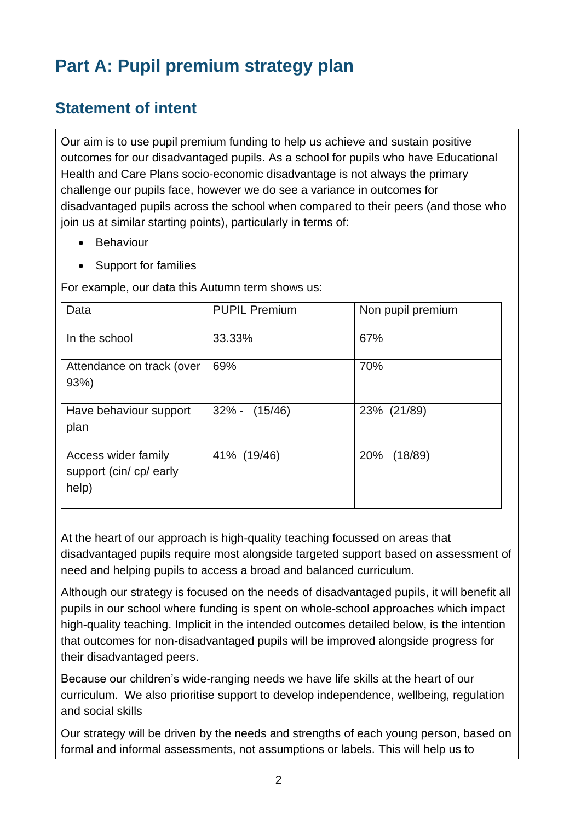# **Part A: Pupil premium strategy plan**

### **Statement of intent**

Our aim is to use pupil premium funding to help us achieve and sustain positive outcomes for our disadvantaged pupils. As a school for pupils who have Educational Health and Care Plans socio-economic disadvantage is not always the primary challenge our pupils face, however we do see a variance in outcomes for disadvantaged pupils across the school when compared to their peers (and those who join us at similar starting points), particularly in terms of:

- Behaviour
- Support for families

For example, our data this Autumn term shows us:

| Data                                                    | <b>PUPIL Premium</b> | Non pupil premium |
|---------------------------------------------------------|----------------------|-------------------|
| In the school                                           | 33.33%               | 67%               |
| Attendance on track (over<br>93%)                       | 69%                  | 70%               |
| Have behaviour support<br>plan                          | $32\% - (15/46)$     | 23% (21/89)       |
| Access wider family<br>support (cin/ cp/ early<br>help) | 41% (19/46)          | 20% (18/89)       |

At the heart of our approach is high-quality teaching focussed on areas that disadvantaged pupils require most alongside targeted support based on assessment of need and helping pupils to access a broad and balanced curriculum.

Although our strategy is focused on the needs of disadvantaged pupils, it will benefit all pupils in our school where funding is spent on whole-school approaches which impact high-quality teaching. Implicit in the intended outcomes detailed below, is the intention that outcomes for non-disadvantaged pupils will be improved alongside progress for their disadvantaged peers.

Because our children's wide-ranging needs we have life skills at the heart of our curriculum. We also prioritise support to develop independence, wellbeing, regulation and social skills

Our strategy will be driven by the needs and strengths of each young person, based on formal and informal assessments, not assumptions or labels. This will help us to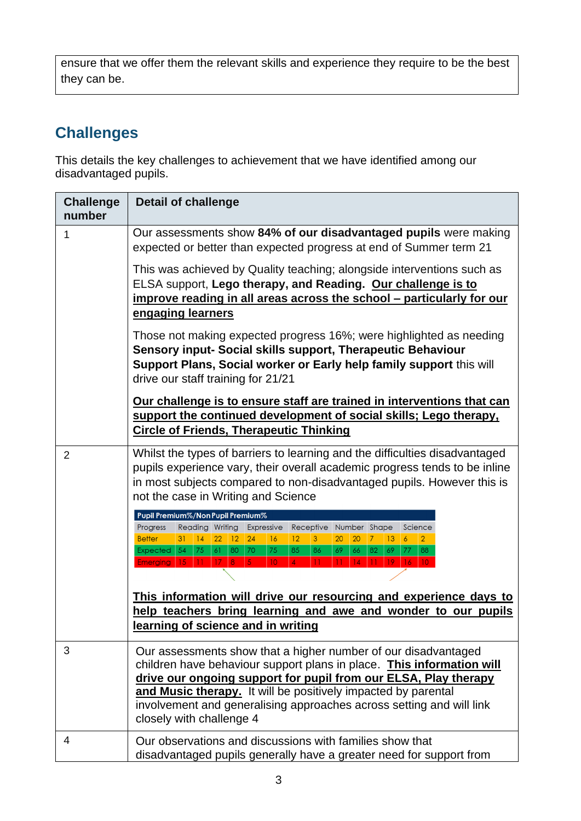ensure that we offer them the relevant skills and experience they require to be the best they can be.

## **Challenges**

This details the key challenges to achievement that we have identified among our disadvantaged pupils.

| <b>Challenge</b><br>number | <b>Detail of challenge</b>                                                                                                                                                                                                                                                                                                                                                                                                                                                                                                                    |  |  |
|----------------------------|-----------------------------------------------------------------------------------------------------------------------------------------------------------------------------------------------------------------------------------------------------------------------------------------------------------------------------------------------------------------------------------------------------------------------------------------------------------------------------------------------------------------------------------------------|--|--|
| 1                          | Our assessments show 84% of our disadvantaged pupils were making<br>expected or better than expected progress at end of Summer term 21                                                                                                                                                                                                                                                                                                                                                                                                        |  |  |
|                            | This was achieved by Quality teaching; alongside interventions such as<br>ELSA support, Lego therapy, and Reading. Our challenge is to<br>improve reading in all areas across the school – particularly for our<br>engaging learners                                                                                                                                                                                                                                                                                                          |  |  |
|                            | Those not making expected progress 16%; were highlighted as needing<br>Sensory input- Social skills support, Therapeutic Behaviour<br>Support Plans, Social worker or Early help family support this will<br>drive our staff training for 21/21                                                                                                                                                                                                                                                                                               |  |  |
|                            | Our challenge is to ensure staff are trained in interventions that can<br>support the continued development of social skills; Lego therapy,<br><b>Circle of Friends, Therapeutic Thinking</b>                                                                                                                                                                                                                                                                                                                                                 |  |  |
| $\overline{2}$             | Whilst the types of barriers to learning and the difficulties disadvantaged<br>pupils experience vary, their overall academic progress tends to be inline<br>in most subjects compared to non-disadvantaged pupils. However this is<br>not the case in Writing and Science                                                                                                                                                                                                                                                                    |  |  |
|                            | Pupil Premium%/Non Pupil Premium%<br>Progress<br>Reading Writing Expressive<br>Receptive Number Shape<br>Science<br>24<br><b>Better</b><br> 14 <br>$22 \mid 12 \mid$<br>16<br>12<br>$ 13\rangle$<br>$\overline{6}$<br>$\overline{2}$<br>31<br>3<br>20<br>20<br>7<br>Expected 54<br>70<br>75<br>85<br>66<br>69<br>77<br>88<br>  75  <br>$\vert 61 \vert$<br>80<br>86<br>69<br>82<br>Emerging 15 11 17 8<br>5 <sup>1</sup><br>10 <sup>°</sup><br>$\mathbf{A}$<br>14<br>11 <sup>2</sup><br>19 <sup>°</sup><br>16 <sub>1</sub><br>10 <sup>°</sup> |  |  |
|                            | This information will drive our resourcing and experience days to<br>help teachers bring learning and awe and wonder to our pupils<br>learning of science and in writing                                                                                                                                                                                                                                                                                                                                                                      |  |  |
| 3                          | Our assessments show that a higher number of our disadvantaged<br>children have behaviour support plans in place. This information will<br>drive our ongoing support for pupil from our ELSA, Play therapy<br>and Music therapy. It will be positively impacted by parental<br>involvement and generalising approaches across setting and will link<br>closely with challenge 4                                                                                                                                                               |  |  |
| 4                          | Our observations and discussions with families show that<br>disadvantaged pupils generally have a greater need for support from                                                                                                                                                                                                                                                                                                                                                                                                               |  |  |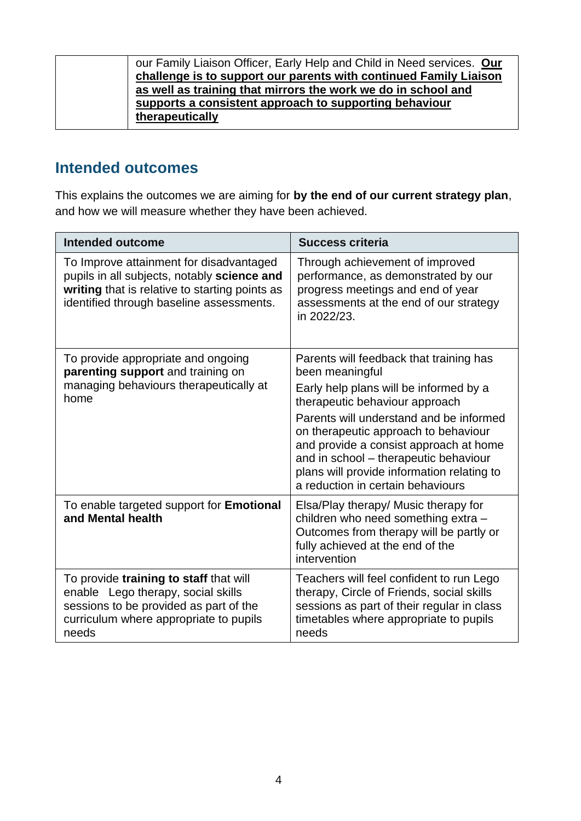| our Family Liaison Officer, Early Help and Child in Need services. Our |
|------------------------------------------------------------------------|
| challenge is to support our parents with continued Family Liaison      |
| as well as training that mirrors the work we do in school and          |
| supports a consistent approach to supporting behaviour                 |
| therapeutically                                                        |

#### **Intended outcomes**

This explains the outcomes we are aiming for **by the end of our current strategy plan**, and how we will measure whether they have been achieved.

| <b>Intended outcome</b>                                                                                                                                                              | <b>Success criteria</b>                                                                                                                                                                                                                               |
|--------------------------------------------------------------------------------------------------------------------------------------------------------------------------------------|-------------------------------------------------------------------------------------------------------------------------------------------------------------------------------------------------------------------------------------------------------|
| To Improve attainment for disadvantaged<br>pupils in all subjects, notably science and<br>writing that is relative to starting points as<br>identified through baseline assessments. | Through achievement of improved<br>performance, as demonstrated by our<br>progress meetings and end of year<br>assessments at the end of our strategy<br>in 2022/23.                                                                                  |
| To provide appropriate and ongoing<br>parenting support and training on                                                                                                              | Parents will feedback that training has<br>been meaningful                                                                                                                                                                                            |
| managing behaviours therapeutically at<br>home                                                                                                                                       | Early help plans will be informed by a<br>therapeutic behaviour approach                                                                                                                                                                              |
|                                                                                                                                                                                      | Parents will understand and be informed<br>on therapeutic approach to behaviour<br>and provide a consist approach at home<br>and in school - therapeutic behaviour<br>plans will provide information relating to<br>a reduction in certain behaviours |
| To enable targeted support for Emotional<br>and Mental health                                                                                                                        | Elsa/Play therapy/ Music therapy for<br>children who need something extra -<br>Outcomes from therapy will be partly or<br>fully achieved at the end of the<br>intervention                                                                            |
| To provide training to staff that will<br>enable Lego therapy, social skills<br>sessions to be provided as part of the<br>curriculum where appropriate to pupils<br>needs            | Teachers will feel confident to run Lego<br>therapy, Circle of Friends, social skills<br>sessions as part of their regular in class<br>timetables where appropriate to pupils<br>needs                                                                |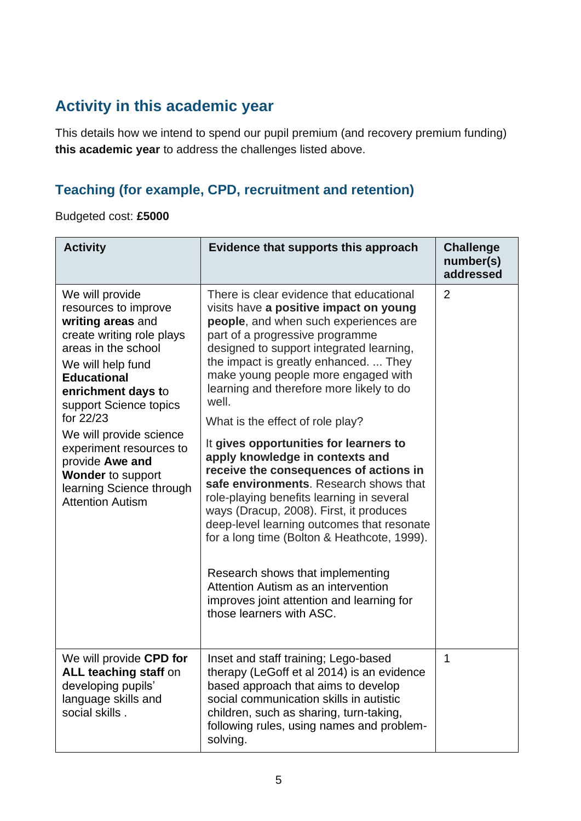## **Activity in this academic year**

This details how we intend to spend our pupil premium (and recovery premium funding) **this academic year** to address the challenges listed above.

#### **Teaching (for example, CPD, recruitment and retention)**

Budgeted cost: **£5000**

| <b>Activity</b>                                                                                                                                                                                                                                                                                                                                                                      | Evidence that supports this approach                                                                                                                                                                                                                                                                                                                                                                                                                                                                                                                                                                                                                                                                                                                                                                                                                                                          | <b>Challenge</b><br>number(s)<br>addressed |
|--------------------------------------------------------------------------------------------------------------------------------------------------------------------------------------------------------------------------------------------------------------------------------------------------------------------------------------------------------------------------------------|-----------------------------------------------------------------------------------------------------------------------------------------------------------------------------------------------------------------------------------------------------------------------------------------------------------------------------------------------------------------------------------------------------------------------------------------------------------------------------------------------------------------------------------------------------------------------------------------------------------------------------------------------------------------------------------------------------------------------------------------------------------------------------------------------------------------------------------------------------------------------------------------------|--------------------------------------------|
| We will provide<br>resources to improve<br>writing areas and<br>create writing role plays<br>areas in the school<br>We will help fund<br><b>Educational</b><br>enrichment days to<br>support Science topics<br>for 22/23<br>We will provide science<br>experiment resources to<br>provide Awe and<br><b>Wonder</b> to support<br>learning Science through<br><b>Attention Autism</b> | There is clear evidence that educational<br>visits have a positive impact on young<br>people, and when such experiences are<br>part of a progressive programme<br>designed to support integrated learning,<br>the impact is greatly enhanced.  They<br>make young people more engaged with<br>learning and therefore more likely to do<br>well.<br>What is the effect of role play?<br>It gives opportunities for learners to<br>apply knowledge in contexts and<br>receive the consequences of actions in<br>safe environments. Research shows that<br>role-playing benefits learning in several<br>ways (Dracup, 2008). First, it produces<br>deep-level learning outcomes that resonate<br>for a long time (Bolton & Heathcote, 1999).<br>Research shows that implementing<br>Attention Autism as an intervention<br>improves joint attention and learning for<br>those learners with ASC. | $\overline{2}$                             |
| We will provide CPD for<br><b>ALL teaching staff on</b><br>developing pupils'<br>language skills and<br>social skills.                                                                                                                                                                                                                                                               | Inset and staff training; Lego-based<br>therapy (LeGoff et al 2014) is an evidence<br>based approach that aims to develop<br>social communication skills in autistic<br>children, such as sharing, turn-taking,<br>following rules, using names and problem-<br>solving.                                                                                                                                                                                                                                                                                                                                                                                                                                                                                                                                                                                                                      | 1                                          |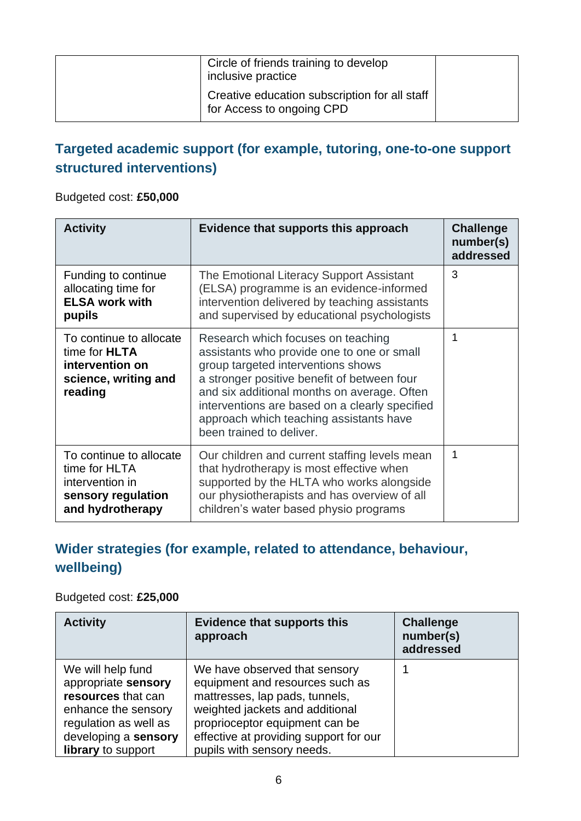| Circle of friends training to develop<br>inclusive practice                |  |
|----------------------------------------------------------------------------|--|
| Creative education subscription for all staff<br>for Access to ongoing CPD |  |

#### **Targeted academic support (for example, tutoring, one-to-one support structured interventions)**

#### Budgeted cost: **£50,000**

| <b>Activity</b>                                                                                       | Evidence that supports this approach                                                                                                                                                                                                                                                                                                          | <b>Challenge</b><br>number(s)<br>addressed |
|-------------------------------------------------------------------------------------------------------|-----------------------------------------------------------------------------------------------------------------------------------------------------------------------------------------------------------------------------------------------------------------------------------------------------------------------------------------------|--------------------------------------------|
| Funding to continue<br>allocating time for<br><b>ELSA work with</b><br>pupils                         | The Emotional Literacy Support Assistant<br>(ELSA) programme is an evidence-informed<br>intervention delivered by teaching assistants<br>and supervised by educational psychologists                                                                                                                                                          | 3                                          |
| To continue to allocate<br>time for <b>HLTA</b><br>intervention on<br>science, writing and<br>reading | Research which focuses on teaching<br>assistants who provide one to one or small<br>group targeted interventions shows<br>a stronger positive benefit of between four<br>and six additional months on average. Often<br>interventions are based on a clearly specified<br>approach which teaching assistants have<br>been trained to deliver. | 1                                          |
| To continue to allocate<br>time for HLTA<br>intervention in<br>sensory regulation<br>and hydrotherapy | Our children and current staffing levels mean<br>that hydrotherapy is most effective when<br>supported by the HLTA who works alongside<br>our physiotherapists and has overview of all<br>children's water based physio programs                                                                                                              | 1                                          |

#### **Wider strategies (for example, related to attendance, behaviour, wellbeing)**

#### Budgeted cost: **£25,000**

| <b>Activity</b>                                                                                                                                              | <b>Evidence that supports this</b><br>approach                                                                                                                                                                                                  | <b>Challenge</b><br>number(s)<br>addressed |
|--------------------------------------------------------------------------------------------------------------------------------------------------------------|-------------------------------------------------------------------------------------------------------------------------------------------------------------------------------------------------------------------------------------------------|--------------------------------------------|
| We will help fund<br>appropriate sensory<br>resources that can<br>enhance the sensory<br>regulation as well as<br>developing a sensory<br>library to support | We have observed that sensory<br>equipment and resources such as<br>mattresses, lap pads, tunnels,<br>weighted jackets and additional<br>proprioceptor equipment can be<br>effective at providing support for our<br>pupils with sensory needs. |                                            |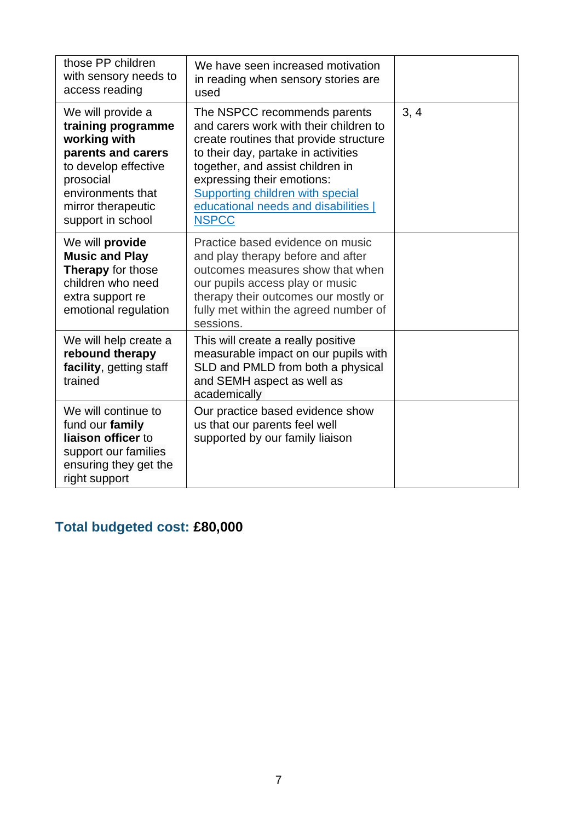| those PP children<br>with sensory needs to<br>access reading                                                                                                                       | We have seen increased motivation<br>in reading when sensory stories are<br>used                                                                                                                                                                                                                                      |      |
|------------------------------------------------------------------------------------------------------------------------------------------------------------------------------------|-----------------------------------------------------------------------------------------------------------------------------------------------------------------------------------------------------------------------------------------------------------------------------------------------------------------------|------|
| We will provide a<br>training programme<br>working with<br>parents and carers<br>to develop effective<br>prosocial<br>environments that<br>mirror therapeutic<br>support in school | The NSPCC recommends parents<br>and carers work with their children to<br>create routines that provide structure<br>to their day, partake in activities<br>together, and assist children in<br>expressing their emotions:<br>Supporting children with special<br>educational needs and disabilities  <br><b>NSPCC</b> | 3, 4 |
| We will provide<br><b>Music and Play</b><br><b>Therapy</b> for those<br>children who need<br>extra support re<br>emotional regulation                                              | Practice based evidence on music<br>and play therapy before and after<br>outcomes measures show that when<br>our pupils access play or music<br>therapy their outcomes our mostly or<br>fully met within the agreed number of<br>sessions.                                                                            |      |
| We will help create a<br>rebound therapy<br>facility, getting staff<br>trained                                                                                                     | This will create a really positive<br>measurable impact on our pupils with<br>SLD and PMLD from both a physical<br>and SEMH aspect as well as<br>academically                                                                                                                                                         |      |
| We will continue to<br>fund our family<br>liaison officer to<br>support our families<br>ensuring they get the<br>right support                                                     | Our practice based evidence show<br>us that our parents feel well<br>supported by our family liaison                                                                                                                                                                                                                  |      |

## **Total budgeted cost: £80,000**